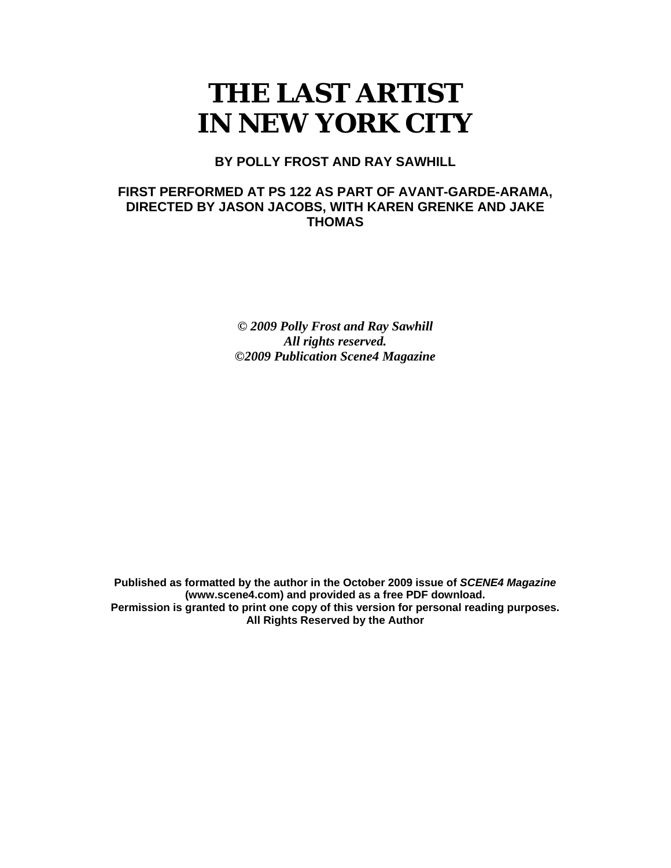# **THE LAST ARTIST IN NEW YORK CITY**

**BY POLLY FROST AND RAY SAWHILL** 

#### **FIRST PERFORMED AT PS 122 AS PART OF AVANT-GARDE-ARAMA, DIRECTED BY JASON JACOBS, WITH KAREN GRENKE AND JAKE THOMAS**

*© 2009 Polly Frost and Ray Sawhill All rights reserved. ©2009 Publication Scene4 Magazine* 

**Published as formatted by the author in the October 2009 issue of** *SCENE4 Magazine* **(www.scene4.com) and provided as a free PDF download. Permission is granted to print one copy of this version for personal reading purposes. All Rights Reserved by the Author**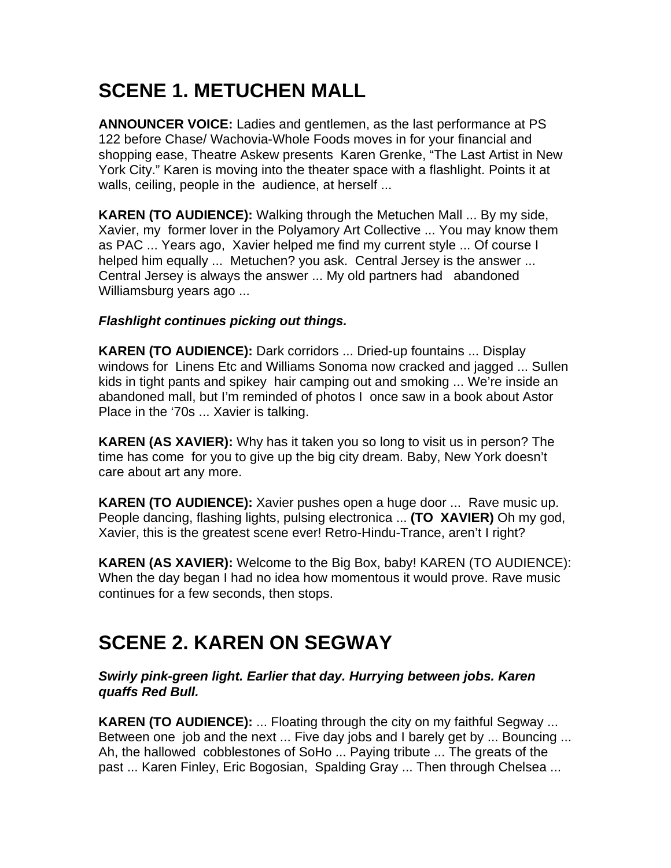## **SCENE 1. METUCHEN MALL**

**ANNOUNCER VOICE:** Ladies and gentlemen, as the last performance at PS 122 before Chase/ Wachovia-Whole Foods moves in for your financial and shopping ease, Theatre Askew presents Karen Grenke, "The Last Artist in New York City." Karen is moving into the theater space with a flashlight. Points it at walls, ceiling, people in the audience, at herself ...

**KAREN (TO AUDIENCE):** Walking through the Metuchen Mall ... By my side, Xavier, my former lover in the Polyamory Art Collective ... You may know them as PAC ... Years ago, Xavier helped me find my current style ... Of course I helped him equally ... Metuchen? you ask. Central Jersey is the answer ... Central Jersey is always the answer ... My old partners had abandoned Williamsburg years ago ...

#### *Flashlight continues picking out things.*

**KAREN (TO AUDIENCE):** Dark corridors ... Dried-up fountains ... Display windows for Linens Etc and Williams Sonoma now cracked and jagged ... Sullen kids in tight pants and spikey hair camping out and smoking ... We're inside an abandoned mall, but I'm reminded of photos I once saw in a book about Astor Place in the '70s ... Xavier is talking.

**KAREN (AS XAVIER):** Why has it taken you so long to visit us in person? The time has come for you to give up the big city dream. Baby, New York doesn't care about art any more.

**KAREN (TO AUDIENCE):** Xavier pushes open a huge door ... Rave music up. People dancing, flashing lights, pulsing electronica ... **(TO XAVIER)** Oh my god, Xavier, this is the greatest scene ever! Retro-Hindu-Trance, aren't I right?

**KAREN (AS XAVIER):** Welcome to the Big Box, baby! KAREN (TO AUDIENCE): When the day began I had no idea how momentous it would prove. Rave music continues for a few seconds, then stops.

### **SCENE 2. KAREN ON SEGWAY**

#### *Swirly pink-green light. Earlier that day. Hurrying between jobs. Karen quaffs Red Bull.*

**KAREN (TO AUDIENCE):** ... Floating through the city on my faithful Segway ... Between one job and the next ... Five day jobs and I barely get by ... Bouncing ... Ah, the hallowed cobblestones of SoHo ... Paying tribute ... The greats of the past ... Karen Finley, Eric Bogosian, Spalding Gray ... Then through Chelsea ...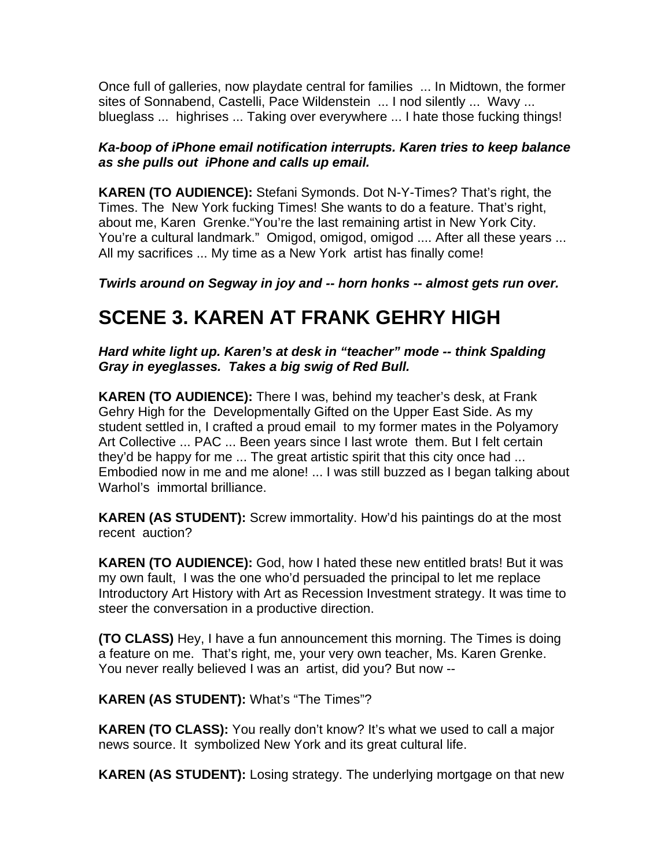Once full of galleries, now playdate central for families ... In Midtown, the former sites of Sonnabend, Castelli, Pace Wildenstein ... I nod silently ... Wavy ... blueglass ... highrises ... Taking over everywhere ... I hate those fucking things!

#### *Ka-boop of iPhone email notification interrupts. Karen tries to keep balance as she pulls out iPhone and calls up email.*

**KAREN (TO AUDIENCE):** Stefani Symonds. Dot N-Y-Times? That's right, the Times. The New York fucking Times! She wants to do a feature. That's right, about me, Karen Grenke."You're the last remaining artist in New York City. You're a cultural landmark." Omigod, omigod, omigod .... After all these years ... All my sacrifices ... My time as a New York artist has finally come!

*Twirls around on Segway in joy and -- horn honks -- almost gets run over.* 

### **SCENE 3. KAREN AT FRANK GEHRY HIGH**

*Hard white light up. Karen's at desk in "teacher" mode -- think Spalding Gray in eyeglasses. Takes a big swig of Red Bull.* 

**KAREN (TO AUDIENCE):** There I was, behind my teacher's desk, at Frank Gehry High for the Developmentally Gifted on the Upper East Side. As my student settled in, I crafted a proud email to my former mates in the Polyamory Art Collective ... PAC ... Been years since I last wrote them. But I felt certain they'd be happy for me ... The great artistic spirit that this city once had ... Embodied now in me and me alone! ... I was still buzzed as I began talking about Warhol's immortal brilliance.

**KAREN (AS STUDENT):** Screw immortality. How'd his paintings do at the most recent auction?

**KAREN (TO AUDIENCE):** God, how I hated these new entitled brats! But it was my own fault, I was the one who'd persuaded the principal to let me replace Introductory Art History with Art as Recession Investment strategy. It was time to steer the conversation in a productive direction.

**(TO CLASS)** Hey, I have a fun announcement this morning. The Times is doing a feature on me. That's right, me, your very own teacher, Ms. Karen Grenke. You never really believed I was an artist, did you? But now --

**KAREN (AS STUDENT):** What's "The Times"?

**KAREN (TO CLASS):** You really don't know? It's what we used to call a major news source. It symbolized New York and its great cultural life.

**KAREN (AS STUDENT):** Losing strategy. The underlying mortgage on that new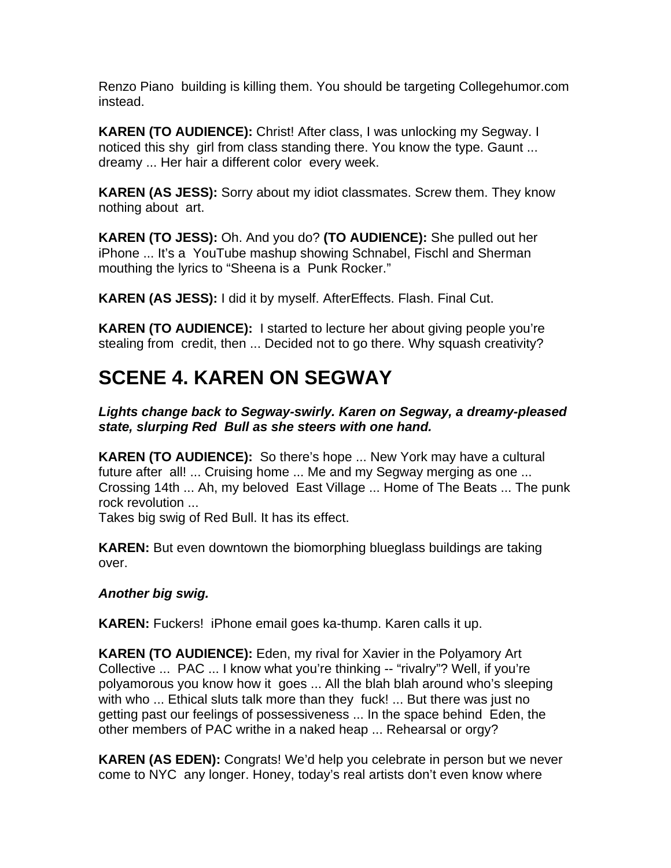Renzo Piano building is killing them. You should be targeting Collegehumor.com instead.

**KAREN (TO AUDIENCE):** Christ! After class, I was unlocking my Segway. I noticed this shy girl from class standing there. You know the type. Gaunt ... dreamy ... Her hair a different color every week.

**KAREN (AS JESS):** Sorry about my idiot classmates. Screw them. They know nothing about art.

**KAREN (TO JESS):** Oh. And you do? **(TO AUDIENCE):** She pulled out her iPhone ... It's a YouTube mashup showing Schnabel, Fischl and Sherman mouthing the lyrics to "Sheena is a Punk Rocker."

**KAREN (AS JESS):** I did it by myself. AfterEffects. Flash. Final Cut.

**KAREN (TO AUDIENCE):** I started to lecture her about giving people you're stealing from credit, then ... Decided not to go there. Why squash creativity?

### **SCENE 4. KAREN ON SEGWAY**

*Lights change back to Segway-swirly. Karen on Segway, a dreamy-pleased state, slurping Red Bull as she steers with one hand.* 

**KAREN (TO AUDIENCE):** So there's hope ... New York may have a cultural future after all! ... Cruising home ... Me and my Segway merging as one ... Crossing 14th ... Ah, my beloved East Village ... Home of The Beats ... The punk rock revolution ...

Takes big swig of Red Bull. It has its effect.

**KAREN:** But even downtown the biomorphing blueglass buildings are taking over.

#### *Another big swig.*

**KAREN:** Fuckers! iPhone email goes ka-thump. Karen calls it up.

**KAREN (TO AUDIENCE):** Eden, my rival for Xavier in the Polyamory Art Collective ... PAC ... I know what you're thinking -- "rivalry"? Well, if you're polyamorous you know how it goes ... All the blah blah around who's sleeping with who ... Ethical sluts talk more than they fuck! ... But there was just no getting past our feelings of possessiveness ... In the space behind Eden, the other members of PAC writhe in a naked heap ... Rehearsal or orgy?

**KAREN (AS EDEN):** Congrats! We'd help you celebrate in person but we never come to NYC any longer. Honey, today's real artists don't even know where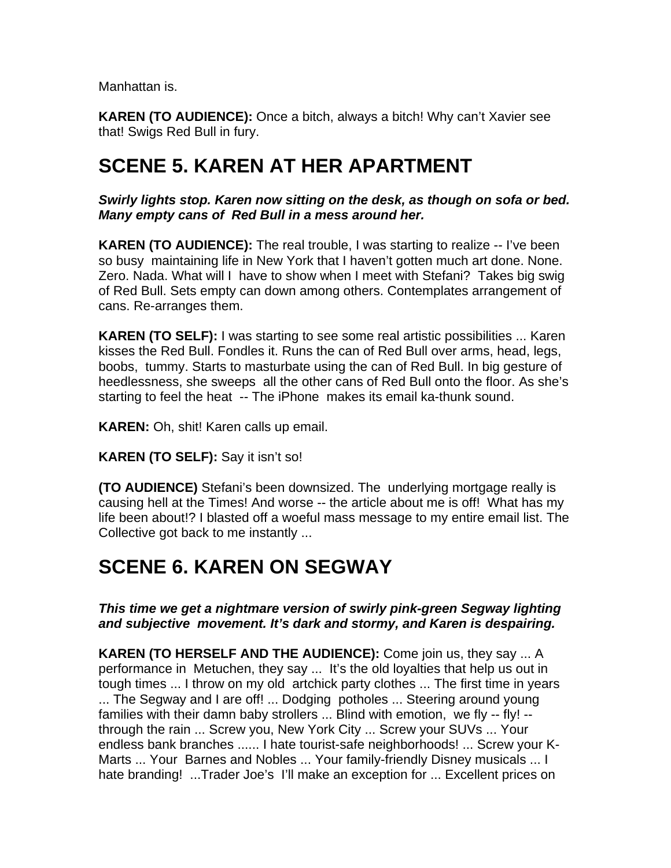Manhattan is.

**KAREN (TO AUDIENCE):** Once a bitch, always a bitch! Why can't Xavier see that! Swigs Red Bull in fury.

### **SCENE 5. KAREN AT HER APARTMENT**

*Swirly lights stop. Karen now sitting on the desk, as though on sofa or bed. Many empty cans of Red Bull in a mess around her.* 

**KAREN (TO AUDIENCE):** The real trouble, I was starting to realize -- I've been so busy maintaining life in New York that I haven't gotten much art done. None. Zero. Nada. What will I have to show when I meet with Stefani? Takes big swig of Red Bull. Sets empty can down among others. Contemplates arrangement of cans. Re-arranges them.

**KAREN (TO SELF):** I was starting to see some real artistic possibilities ... Karen kisses the Red Bull. Fondles it. Runs the can of Red Bull over arms, head, legs, boobs, tummy. Starts to masturbate using the can of Red Bull. In big gesture of heedlessness, she sweeps all the other cans of Red Bull onto the floor. As she's starting to feel the heat -- The iPhone makes its email ka-thunk sound.

**KAREN:** Oh, shit! Karen calls up email.

**KAREN (TO SELF):** Say it isn't so!

**(TO AUDIENCE)** Stefani's been downsized. The underlying mortgage really is causing hell at the Times! And worse -- the article about me is off! What has my life been about!? I blasted off a woeful mass message to my entire email list. The Collective got back to me instantly ...

### **SCENE 6. KAREN ON SEGWAY**

#### *This time we get a nightmare version of swirly pink-green Segway lighting and subjective movement. It's dark and stormy, and Karen is despairing.*

**KAREN (TO HERSELF AND THE AUDIENCE):** Come join us, they say ... A performance in Metuchen, they say ... It's the old loyalties that help us out in tough times ... I throw on my old artchick party clothes ... The first time in years ... The Segway and I are off! ... Dodging potholes ... Steering around young families with their damn baby strollers ... Blind with emotion, we fly -- fly! - through the rain ... Screw you, New York City ... Screw your SUVs ... Your endless bank branches ...... I hate tourist-safe neighborhoods! ... Screw your K-Marts ... Your Barnes and Nobles ... Your family-friendly Disney musicals ... I hate branding! ...Trader Joe's I'll make an exception for ... Excellent prices on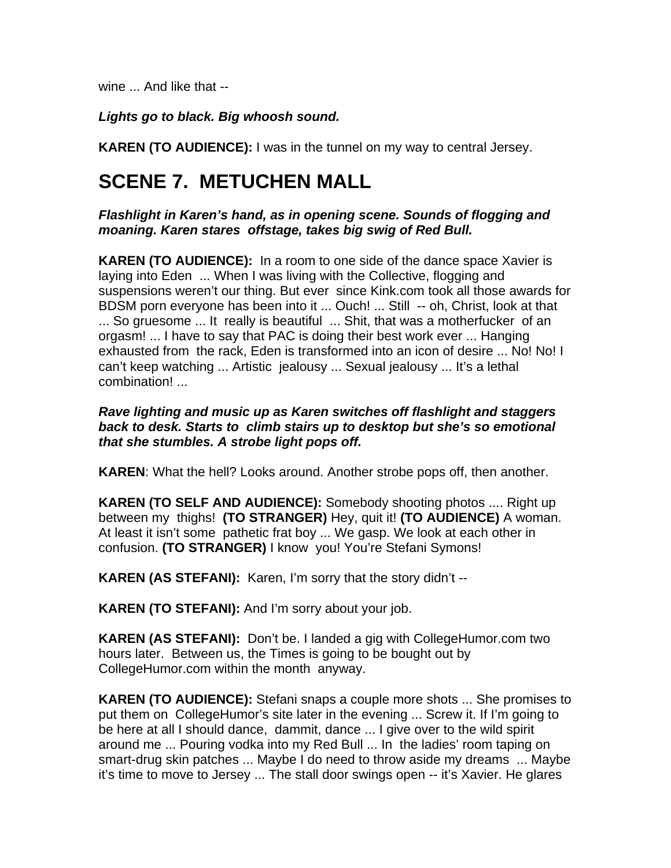wine ... And like that --

*Lights go to black. Big whoosh sound.* 

**KAREN (TO AUDIENCE):** I was in the tunnel on my way to central Jersey.

### **SCENE 7. METUCHEN MALL**

*Flashlight in Karen's hand, as in opening scene. Sounds of flogging and moaning. Karen stares offstage, takes big swig of Red Bull.* 

**KAREN (TO AUDIENCE):** In a room to one side of the dance space Xavier is laying into Eden ... When I was living with the Collective, flogging and suspensions weren't our thing. But ever since Kink.com took all those awards for BDSM porn everyone has been into it ... Ouch! ... Still -- oh, Christ, look at that ... So gruesome ... It really is beautiful ... Shit, that was a motherfucker of an orgasm! ... I have to say that PAC is doing their best work ever ... Hanging exhausted from the rack, Eden is transformed into an icon of desire ... No! No! I can't keep watching ... Artistic jealousy ... Sexual jealousy ... It's a lethal combination! ...

*Rave lighting and music up as Karen switches off flashlight and staggers back to desk. Starts to climb stairs up to desktop but she's so emotional that she stumbles. A strobe light pops off.* 

**KAREN**: What the hell? Looks around. Another strobe pops off, then another.

**KAREN (TO SELF AND AUDIENCE):** Somebody shooting photos .... Right up between my thighs! **(TO STRANGER)** Hey, quit it! **(TO AUDIENCE)** A woman. At least it isn't some pathetic frat boy ... We gasp. We look at each other in confusion. **(TO STRANGER)** I know you! You're Stefani Symons!

**KAREN (AS STEFANI):** Karen, I'm sorry that the story didn't --

**KAREN (TO STEFANI):** And I'm sorry about your job.

**KAREN (AS STEFANI):** Don't be. I landed a gig with CollegeHumor.com two hours later. Between us, the Times is going to be bought out by CollegeHumor.com within the month anyway.

**KAREN (TO AUDIENCE):** Stefani snaps a couple more shots ... She promises to put them on CollegeHumor's site later in the evening ... Screw it. If I'm going to be here at all I should dance, dammit, dance ... I give over to the wild spirit around me ... Pouring vodka into my Red Bull ... In the ladies' room taping on smart-drug skin patches ... Maybe I do need to throw aside my dreams ... Maybe it's time to move to Jersey ... The stall door swings open -- it's Xavier. He glares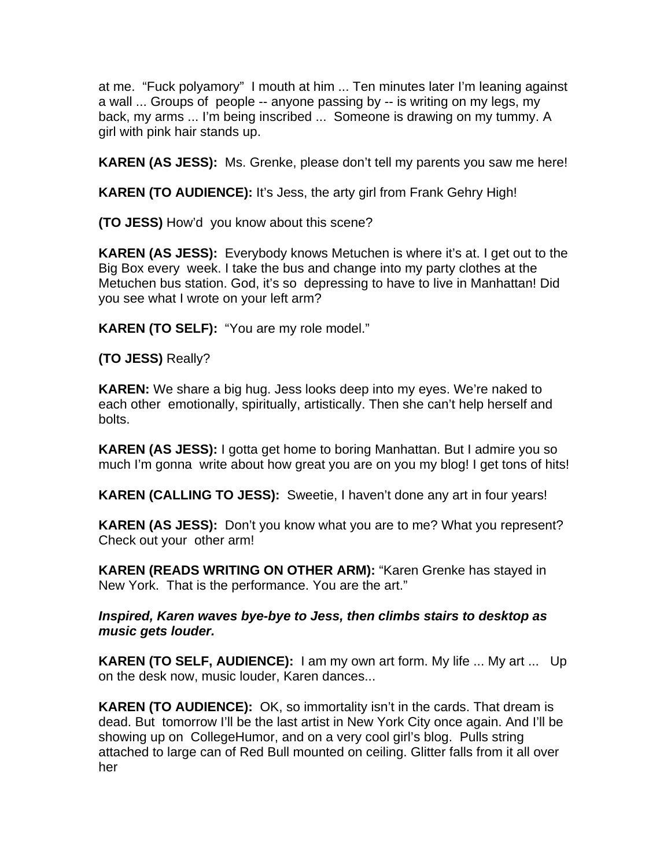at me. "Fuck polyamory" I mouth at him ... Ten minutes later I'm leaning against a wall ... Groups of people -- anyone passing by -- is writing on my legs, my back, my arms ... I'm being inscribed ... Someone is drawing on my tummy. A girl with pink hair stands up.

**KAREN (AS JESS):** Ms. Grenke, please don't tell my parents you saw me here!

**KAREN (TO AUDIENCE):** It's Jess, the arty girl from Frank Gehry High!

**(TO JESS)** How'd you know about this scene?

**KAREN (AS JESS):** Everybody knows Metuchen is where it's at. I get out to the Big Box every week. I take the bus and change into my party clothes at the Metuchen bus station. God, it's so depressing to have to live in Manhattan! Did you see what I wrote on your left arm?

**KAREN (TO SELF):** "You are my role model."

**(TO JESS)** Really?

**KAREN:** We share a big hug. Jess looks deep into my eyes. We're naked to each other emotionally, spiritually, artistically. Then she can't help herself and bolts.

**KAREN (AS JESS):** I gotta get home to boring Manhattan. But I admire you so much I'm gonna write about how great you are on you my blog! I get tons of hits!

**KAREN (CALLING TO JESS):** Sweetie, I haven't done any art in four years!

**KAREN (AS JESS):** Don't you know what you are to me? What you represent? Check out your other arm!

**KAREN (READS WRITING ON OTHER ARM):** "Karen Grenke has stayed in New York. That is the performance. You are the art."

*Inspired, Karen waves bye-bye to Jess, then climbs stairs to desktop as music gets louder.* 

**KAREN (TO SELF, AUDIENCE):** I am my own art form. My life ... My art ... Up on the desk now, music louder, Karen dances...

**KAREN (TO AUDIENCE):** OK, so immortality isn't in the cards. That dream is dead. But tomorrow I'll be the last artist in New York City once again. And I'll be showing up on CollegeHumor, and on a very cool girl's blog. Pulls string attached to large can of Red Bull mounted on ceiling. Glitter falls from it all over her